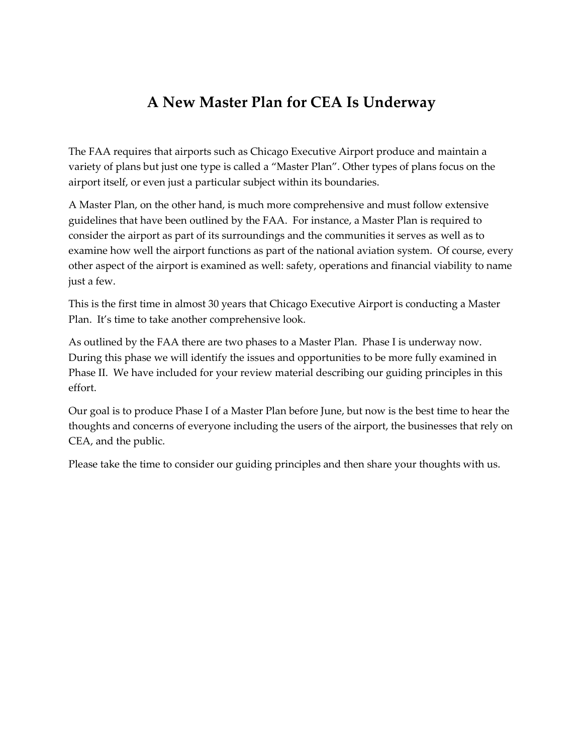## **A New Master Plan for CEA Is Underway**

The FAA requires that airports such as Chicago Executive Airport produce and maintain a variety of plans but just one type is called a "Master Plan". Other types of plans focus on the airport itself, or even just a particular subject within its boundaries.

A Master Plan, on the other hand, is much more comprehensive and must follow extensive guidelines that have been outlined by the FAA. For instance, a Master Plan is required to consider the airport as part of its surroundings and the communities it serves as well as to examine how well the airport functions as part of the national aviation system. Of course, every other aspect of the airport is examined as well: safety, operations and financial viability to name just a few.

This is the first time in almost 30 years that Chicago Executive Airport is conducting a Master Plan. It's time to take another comprehensive look.

As outlined by the FAA there are two phases to a Master Plan. Phase I is underway now. During this phase we will identify the issues and opportunities to be more fully examined in Phase II. We have included for your review material describing our guiding principles in this effort.

Our goal is to produce Phase I of a Master Plan before June, but now is the best time to hear the thoughts and concerns of everyone including the users of the airport, the businesses that rely on CEA, and the public.

Please take the time to consider our guiding principles and then share your thoughts with us.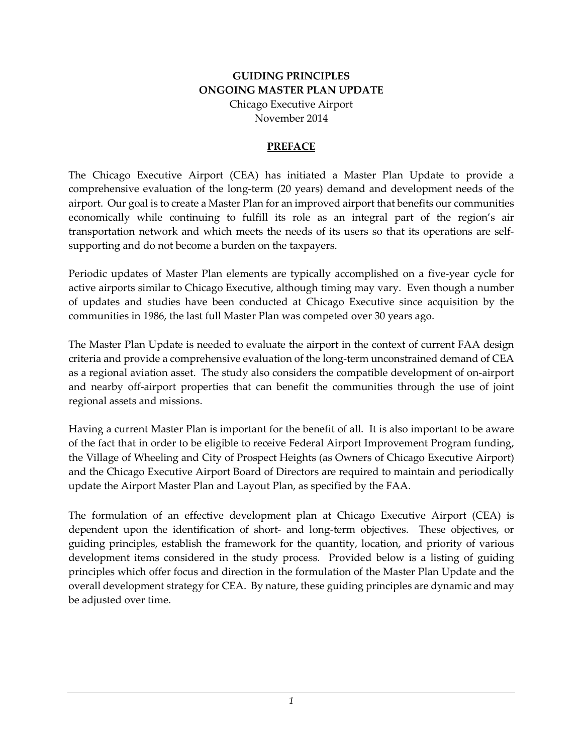## **GUIDING PRINCIPLES ONGOING MASTER PLAN UPDATE**

Chicago Executive Airport November 2014

## **PREFACE**

The Chicago Executive Airport (CEA) has initiated a Master Plan Update to provide a comprehensive evaluation of the long-term (20 years) demand and development needs of the airport. Our goal is to create a Master Plan for an improved airport that benefits our communities economically while continuing to fulfill its role as an integral part of the region's air transportation network and which meets the needs of its users so that its operations are selfsupporting and do not become a burden on the taxpayers.

Periodic updates of Master Plan elements are typically accomplished on a five-year cycle for active airports similar to Chicago Executive, although timing may vary. Even though a number of updates and studies have been conducted at Chicago Executive since acquisition by the communities in 1986, the last full Master Plan was competed over 30 years ago.

The Master Plan Update is needed to evaluate the airport in the context of current FAA design criteria and provide a comprehensive evaluation of the long-term unconstrained demand of CEA as a regional aviation asset. The study also considers the compatible development of on-airport and nearby off-airport properties that can benefit the communities through the use of joint regional assets and missions.

Having a current Master Plan is important for the benefit of all. It is also important to be aware of the fact that in order to be eligible to receive Federal Airport Improvement Program funding, the Village of Wheeling and City of Prospect Heights (as Owners of Chicago Executive Airport) and the Chicago Executive Airport Board of Directors are required to maintain and periodically update the Airport Master Plan and Layout Plan, as specified by the FAA.

The formulation of an effective development plan at Chicago Executive Airport (CEA) is dependent upon the identification of short- and long-term objectives. These objectives, or guiding principles, establish the framework for the quantity, location, and priority of various development items considered in the study process. Provided below is a listing of guiding principles which offer focus and direction in the formulation of the Master Plan Update and the overall development strategy for CEA. By nature, these guiding principles are dynamic and may be adjusted over time.